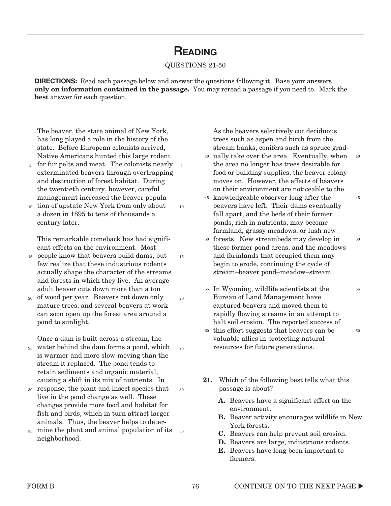## **READING**

#### QUESTIONS 21-50

**DIRECTIONS:** Read each passage below and answer the questions following it. Base your answers **only on information contained in the passage.** You may reread a passage if you need to. Mark the **best** answer for each question.

15

 $20$ 

25

30

The beaver, the state animal of New York, has long played a role in the history of the state. Before European colonists arrived, Native Americans hunted this large rodent

- 5 for fur pelts and meat. The colonists nearly 5 exterminated beavers through overtrapping and destruction of forest habitat. During the twentieth century, however, careful management increased the beaver popula-
- 10 tion of upstate New York from only about a dozen in 1895 to tens of thousands a century later. 10

This remarkable comeback has had significant effects on the environment. Most

- people know that beavers build dams, but 15 few realize that these industrious rodents actually shape the character of the streams and forests in which they live. An average adult beaver cuts down more than a ton
- 20 of wood per year. Beavers cut down only mature trees, and several beavers at work can soon open up the forest area around a pond to sunlight.

Once a dam is built across a stream, the

- water behind the dam forms a pond, which 25 is warmer and more slow-moving than the stream it replaced. The pond tends to retain sediments and organic material, causing a shift in its mix of nutrients. In
- response, the plant and insect species that 30 live in the pond change as well. These changes provide more food and habitat for fish and birds, which in turn attract larger animals. Thus, the beaver helps to deter-
- mine the plant and animal population of its 35 neighborhood. 35

As the beavers selectively cut deciduous trees such as aspen and birch from the stream banks, conifers such as spruce grad-

<sup>40</sup> ually take over the area. Eventually, when the area no longer has trees desirable for food or building supplies, the beaver colony moves on. However, the effects of beavers on their environment are noticeable to the 40

45

50

- 45 knowledgeable observer long after the beavers have left. Their dams eventually fall apart, and the beds of their former ponds, rich in nutrients, may become farmland, grassy meadows, or lush new
- forests. New streambeds may develop in 50 these former pond areas, and the meadows and farmlands that occupied them may begin to erode, continuing the cycle of stream–beaver pond–meadow–stream.
- In Wyoming, wildlife scientists at the 55 Bureau of Land Management have captured beavers and moved them to rapidly flowing streams in an attempt to halt soil erosion. The reported success of 55 60
- <sup>60</sup> this effort suggests that beavers can be valuable allies in protecting natural resources for future generations.
- **21.** Which of the following best tells what this passage is about?
	- **A.** Beavers have a significant effect on the environment.
	- **B.** Beaver activity encourages wildlife in New York forests.
	- **C.** Beavers can help prevent soil erosion.
	- **D.** Beavers are large, industrious rodents.
	- **E.** Beavers have long been important to farmers.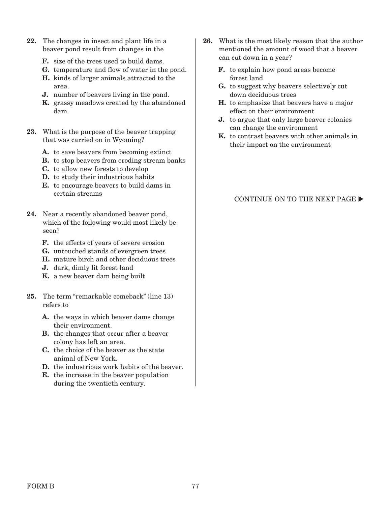- **22.** The changes in insect and plant life in a beaver pond result from changes in the
	- **F.** size of the trees used to build dams.
	- **G.** temperature and flow of water in the pond.
	- **H.** kinds of larger animals attracted to the area.
	- **J.** number of beavers living in the pond.
	- **K.** grassy meadows created by the abandoned dam.
- **23.** What is the purpose of the beaver trapping that was carried on in Wyoming?
	- **A.** to save beavers from becoming extinct
	- **B.** to stop beavers from eroding stream banks
	- **C.** to allow new forests to develop
	- **D.** to study their industrious habits
	- **E.** to encourage beavers to build dams in certain streams
- **24.** Near a recently abandoned beaver pond, which of the following would most likely be seen?
	- **F.** the effects of years of severe erosion
	- **G.** untouched stands of evergreen trees
	- **H.** mature birch and other deciduous trees
	- **J.** dark, dimly lit forest land
	- **K.** a new beaver dam being built
- **25.** The term "remarkable comeback" (line 13) refers to
	- **A.** the ways in which beaver dams change their environment.
	- **B.** the changes that occur after a beaver colony has left an area.
	- **C.** the choice of the beaver as the state animal of New York.
	- **D.** the industrious work habits of the beaver.
	- **E.** the increase in the beaver population during the twentieth century.
- **26.** What is the most likely reason that the author mentioned the amount of wood that a beaver can cut down in a year?
	- **F.** to explain how pond areas become forest land
	- **G.** to suggest why beavers selectively cut down deciduous trees
	- **H.** to emphasize that beavers have a major effect on their environment
	- **J.** to argue that only large beaver colonies can change the environment
	- **K.** to contrast beavers with other animals in their impact on the environment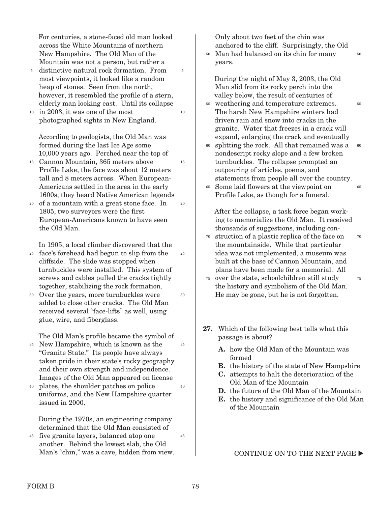For centuries, a stone-faced old man looked across the White Mountains of northern New Hampshire. The Old Man of the Mountain was not a person, but rather a

5

10

15

20

25

30

40

45

- distinctive natural rock formation. From 5 most viewpoints, it looked like a random heap of stones. Seen from the north, however, it resembled the profile of a stern, elderly man looking east. Until its collapse
- in 2003, it was one of the most 10 photographed sights in New England.

According to geologists, the Old Man was formed during the last Ice Age some 10,000 years ago. Perched near the top of

- Cannon Mountain, 365 meters above 15 Profile Lake, the face was about 12 meters tall and 8 meters across. When European-Americans settled in the area in the early 1600s, they heard Native American legends
- 20 of a mountain with a great stone face. In 1805, two surveyors were the first European-Americans known to have seen the Old Man.

In 1905, a local climber discovered that the

- face's forehead had begun to slip from the 25 cliffside. The slide was stopped when turnbuckles were installed. This system of screws and cables pulled the cracks tightly together, stabilizing the rock formation.
- Over the years, more turnbuckles were 30 added to close other cracks. The Old Man received several "face-lifts" as well, using glue, wire, and fiberglass.

The Old Man's profile became the symbol of

- New Hampshire, which is known as the "Granite State." Its people have always taken pride in their state's rocky geography and their own strength and independence. Images of the Old Man appeared on license 35 35
- plates, the shoulder patches on police uniforms, and the New Hampshire quarter issued in 2000. 40

During the 1970s, an engineering company determined that the Old Man consisted of

five granite layers, balanced atop one 45 another. Behind the lowest slab, the Old Man's "chin," was a cave, hidden from view. Only about two feet of the chin was anchored to the cliff. Surprisingly, the Old

50

55

70

75

Man had balanced on its chin for many 50 years.

During the night of May 3, 2003, the Old Man slid from its rocky perch into the valley below, the result of centuries of

- weathering and temperature extremes. 55 The harsh New Hampshire winters had driven rain and snow into cracks in the granite. Water that freezes in a crack will expand, enlarging the crack and eventually
- splitting the rock. All that remained was a nondescript rocky slope and a few broken turnbuckles. The collapse prompted an outpouring of articles, poems, and statements from people all over the country. 60 60
- Some laid flowers at the viewpoint on 65 Profile Lake, as though for a funeral. 65

After the collapse, a task force began working to memorialize the Old Man. It received thousands of suggestions, including con-

- struction of a plastic replica of the face on the mountainside. While that particular idea was not implemented, a museum was built at the base of Cannon Mountain, and plans have been made for a memorial. All 70
- over the state, schoolchildren still study 75 the history and symbolism of the Old Man. He may be gone, but he is not forgotten.
- **27.** Which of the following best tells what this passage is about?
	- **A.** how the Old Man of the Mountain was formed
	- **B.** the history of the state of New Hampshire
	- **C.** attempts to halt the deterioration of the Old Man of the Mountain
	- **D.** the future of the Old Man of the Mountain
	- **E.** the history and significance of the Old Man of the Mountain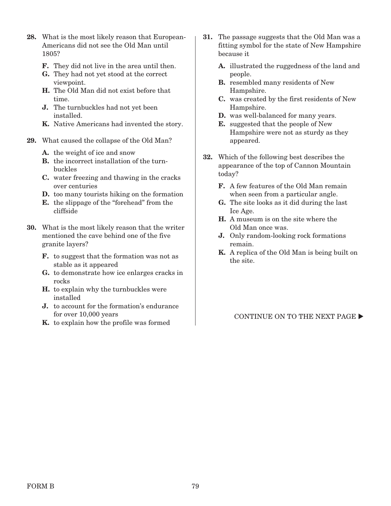- **28.** What is the most likely reason that European-Americans did not see the Old Man until 1805?
	- **F.** They did not live in the area until then.
	- **G.** They had not yet stood at the correct viewpoint.
	- **H.** The Old Man did not exist before that time.
	- **J.** The turnbuckles had not yet been installed.
	- **K.** Native Americans had invented the story.
- **29.** What caused the collapse of the Old Man?
	- **A.** the weight of ice and snow
	- **B.** the incorrect installation of the turnbuckles
	- **C.** water freezing and thawing in the cracks over centuries
	- **D.** too many tourists hiking on the formation
	- **E.** the slippage of the "forehead" from the cliffside
- **30.** What is the most likely reason that the writer mentioned the cave behind one of the five granite layers?
	- **F.** to suggest that the formation was not as stable as it appeared
	- **G.** to demonstrate how ice enlarges cracks in rocks
	- **H.** to explain why the turnbuckles were installed
	- **J.** to account for the formation's endurance for over 10,000 years
	- **K.** to explain how the profile was formed
- **31.** The passage suggests that the Old Man was a fitting symbol for the state of New Hampshire because it
	- **A.** illustrated the ruggedness of the land and people.
	- **B.** resembled many residents of New Hampshire.
	- **C.** was created by the first residents of New Hampshire.
	- **D.** was well-balanced for many years.
	- **E.** suggested that the people of New Hampshire were not as sturdy as they appeared.
- **32.** Which of the following best describes the appearance of the top of Cannon Mountain today?
	- **F.** A few features of the Old Man remain when seen from a particular angle.
	- **G.** The site looks as it did during the last Ice Age.
	- **H.** A museum is on the site where the Old Man once was.
	- **J.** Only random-looking rock formations remain.
	- **K.** A replica of the Old Man is being built on the site.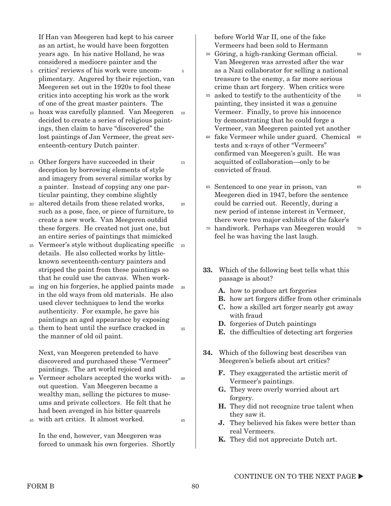If Han van Meegeren had kept to his career as an artist, he would have been forgotten years ago. In his native Holland, he was considered a mediocre painter and the

5

15

20

35

45

- critics' reviews of his work were uncom-5 plimentary. Angered by their rejection, van Meegeren set out in the 1920s to fool these critics into accepting his work as the work of one of the great master painters. The
- 10 hoax was carefully planned. Van Meegeren 10 decided to create a series of religious paintings, then claim to have "discovered" the lost paintings of Jan Vermeer, the great seventeenth-century Dutch painter.
- Other forgers have succeeded in their 15 deception by borrowing elements of style and imagery from several similar works by a painter. Instead of copying any one particular painting, they combine slightly
- altered details from these related works, such as a pose, face, or piece of furniture, to create a new work. Van Meegeren outdid these forgers. He created not just one, but an entire series of paintings that mimicked 20
- Vermeer's style without duplicating specific 25 25 details. He also collected works by littleknown seventeenth-century painters and stripped the paint from these paintings so that he could use the canvas. When work-
- 30 ing on his forgeries, he applied paints made 30 in the old ways from old materials. He also used clever techniques to lend the works authenticity. For example, he gave his paintings an aged appearance by exposing
- them to heat until the surface cracked in 35 the manner of old oil paint.

Next, van Meegeren pretended to have discovered and purchased these "Vermeer" paintings. The art world rejoiced and

- Vermeer scholars accepted the works with-40 out question. Van Meegeren became a wealthy man, selling the pictures to museums and private collectors. He felt that he had been avenged in his bitter quarrels  $40$
- with art critics. It almost worked. 45

In the end, however, van Meegeren was forced to unmask his own forgeries. Shortly before World War II, one of the fake Vermeers had been sold to Hermann

Göring, a high-ranking German official. 50 Van Meegeren was arrested after the war as a Nazi collaborator for selling a national treasure to the enemy, a far more serious crime than art forgery. When critics were

50

- asked to testify to the authenticity of the 55 painting, they insisted it was a genuine Vermeer. Finally, to prove his innocence by demonstrating that he could forge a Vermeer, van Meegeren painted yet another 55
- fake Vermeer while under guard. Chemical 60 60 tests and x-rays of other "Vermeers" confirmed van Meegeren's guilt. He was acquitted of collaboration—only to be convicted of fraud.
- Sentenced to one year in prison, van 65 Meegeren died in 1947, before the sentence could be carried out. Recently, during a new period of intense interest in Vermeer, there were two major exhibits of the faker's 65 70
- handiwork. Perhaps van Meegeren would 70 feel he was having the last laugh.
- **33.** Which of the following best tells what this passage is about?
	- **A.** how to produce art forgeries
	- **B.** how art forgers differ from other criminals
	- **C.** how a skilled art forger nearly got away with fraud
	- **D.** forgeries of Dutch paintings
	- **E.** the difficulties of detecting art forgeries
- **34.** Which of the following best describes van Meegeren's beliefs about art critics?
	- **F.** They exaggerated the artistic merit of Vermeer's paintings.
	- **G.** They were overly worried about art forgery.
	- **H.** They did not recognize true talent when they saw it.
	- **J.** They believed his fakes were better than real Vermeers.
	- **K.** They did not appreciate Dutch art.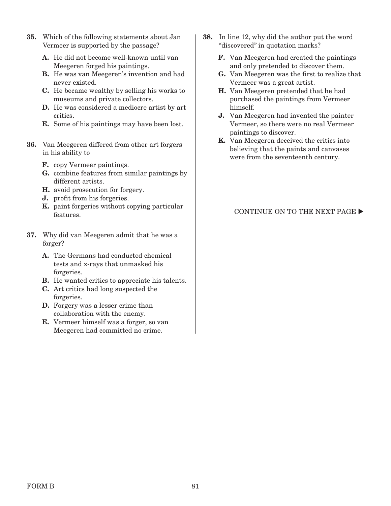- **35.** Which of the following statements about Jan Vermeer is supported by the passage?
	- **A.** He did not become well-known until van Meegeren forged his paintings.
	- **B.** He was van Meegeren's invention and had never existed.
	- **C.** He became wealthy by selling his works to museums and private collectors.
	- **D.** He was considered a mediocre artist by art critics.
	- **E.** Some of his paintings may have been lost.
- **36.** Van Meegeren differed from other art forgers in his ability to
	- **F.** copy Vermeer paintings.
	- **G.** combine features from similar paintings by different artists.
	- **H.** avoid prosecution for forgery.
	- **J.** profit from his forgeries.
	- **K.** paint forgeries without copying particular features.
- **37.** Why did van Meegeren admit that he was a forger?
	- **A.** The Germans had conducted chemical tests and x-rays that unmasked his forgeries.
	- **B.** He wanted critics to appreciate his talents.
	- **C.** Art critics had long suspected the forgeries.
	- **D.** Forgery was a lesser crime than collaboration with the enemy.
	- **E.** Vermeer himself was a forger, so van Meegeren had committed no crime.
- **38.** In line 12, why did the author put the word "discovered" in quotation marks?
	- **F.** Van Meegeren had created the paintings and only pretended to discover them.
	- **G.** Van Meegeren was the first to realize that Vermeer was a great artist.
	- **H.** Van Meegeren pretended that he had purchased the paintings from Vermeer himself.
	- **J.** Van Meegeren had invented the painter Vermeer, so there were no real Vermeer paintings to discover.
	- **K.** Van Meegeren deceived the critics into believing that the paints and canvases were from the seventeenth century.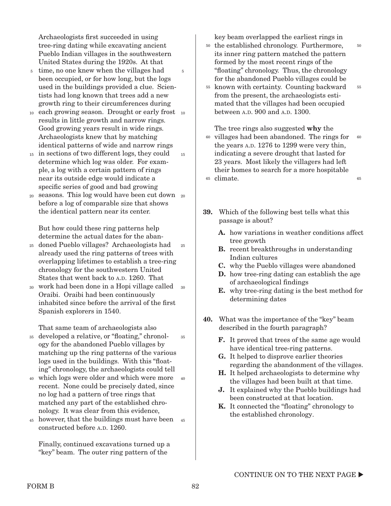Archaeologists first succeeded in using tree-ring dating while excavating ancient Pueblo Indian villages in the southwestern United States during the 1920s. At that

- <sup>5</sup> time, no one knew when the villages had been occupied, or for how long, but the logs used in the buildings provided a clue. Scientists had long known that trees add a new growth ring to their circumferences during 5
- 10 each growing season. Drought or early frost 10 results in little growth and narrow rings. Good growing years result in wide rings. Archaeologists knew that by matching identical patterns of wide and narrow rings
- in sections of two different logs, they could 15 determine which log was older. For example, a log with a certain pattern of rings near its outside edge would indicate a specific series of good and bad growing 15
- seasons. This log would have been cut down 20 before a log of comparable size that shows the identical pattern near its center. 20

But how could these ring patterns help determine the actual dates for the aban-

- doned Pueblo villages? Archaeologists had 25 already used the ring patterns of trees with overlapping lifetimes to establish a tree-ring chronology for the southwestern United States that went back to A.D. 1260. That 25
- work had been done in a Hopi village called 30 30 Oraibi. Oraibi had been continuously inhabited since before the arrival of the first Spanish explorers in 1540.

That same team of archaeologists also

developed a relative, or "floating," chronol-35 ogy for the abandoned Pueblo villages by matching up the ring patterns of the various logs used in the buildings. With this "floating" chronology, the archaeologists could tell 35

- which logs were older and which were more 40 40 recent. None could be precisely dated, since no log had a pattern of tree rings that matched any part of the established chronology. It was clear from this evidence,
- <sup>45</sup> however, that the buildings must have been <sup>45</sup> constructed before A.D. 1260.

Finally, continued excavations turned up a "key" beam. The outer ring pattern of the

key beam overlapped the earliest rings in

50

55

- the established chronology. Furthermore, 50 its inner ring pattern matched the pattern formed by the most recent rings of the "floating" chronology. Thus, the chronology for the abandoned Pueblo villages could be
- <sup>55</sup> known with certainty. Counting backward from the present, the archaeologists estimated that the villages had been occupied between A.D. 900 and A.D. 1300.

The tree rings also suggested **why** the <sup>60</sup> villages had been abandoned. The rings for the years A.D. 1276 to 1299 were very thin, indicating a severe drought that lasted for 23 years. Most likely the villagers had left their homes to search for a more hospitable <sup>65</sup> climate. 60 65

- **39.** Which of the following best tells what this passage is about?
	- **A.** how variations in weather conditions affect tree growth
	- **B.** recent breakthroughs in understanding Indian cultures
	- **C.** why the Pueblo villages were abandoned
	- **D.** how tree-ring dating can establish the age of archaeological findings
	- **E.** why tree-ring dating is the best method for determining dates
- **40.** What was the importance of the "key" beam described in the fourth paragraph?
	- **F.** It proved that trees of the same age would have identical tree-ring patterns.
	- **G.** It helped to disprove earlier theories regarding the abandonment of the villages.
	- **H.** It helped archaeologists to determine why the villages had been built at that time.
	- **J.** It explained why the Pueblo buildings had been constructed at that location.
	- **K.** It connected the "floating" chronology to the established chronology.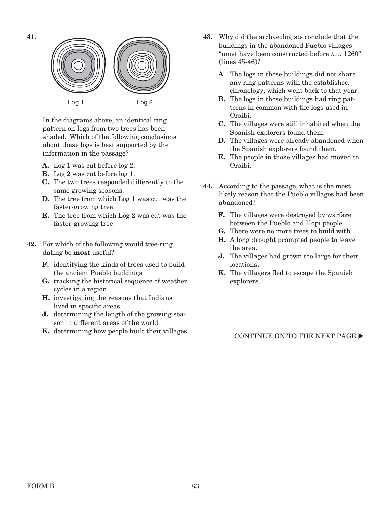

In the diagrams above, an identical ring pattern on logs from two trees has been shaded. Which of the following conclusions about these logs is best supported by the information in the passage?

- **A.** Log 1 was cut before log 2.
- **B.** Log 2 was cut before log 1.
- **C.** The two trees responded differently to the same growing seasons.
- **D.** The tree from which Log 1 was cut was the faster-growing tree.
- **E.** The tree from which Log 2 was cut was the faster-growing tree.
- **42.** For which of the following would tree-ring dating be **most** useful?
	- **F.** identifying the kinds of trees used to build the ancient Pueblo buildings
	- **G.** tracking the historical sequence of weather cycles in a region
	- **H.** investigating the reasons that Indians lived in specific areas
	- **J.** determining the length of the growing season in different areas of the world
	- **K.** determining how people built their villages
- **43.** Why did the archaeologists conclude that the buildings in the abandoned Pueblo villages "must have been constructed before A.D. 1260" (lines 45-46)?
	- **A**. The logs in those buildings did not share any ring patterns with the established chronology, which went back to that year.
	- **B.** The logs in those buildings had ring patterns in common with the logs used in Oraibi.
	- **C.** The villages were still inhabited when the Spanish explorers found them.
	- **D.** The villages were already abandoned when the Spanish explorers found them.
	- **E.** The people in those villages had moved to Oraibi.
- **44.** According to the passage, what is the most likely reason that the Pueblo villages had been abandoned?
	- **F.** The villages were destroyed by warfare between the Pueblo and Hopi people.
	- **G.** There were no more trees to build with.
	- **H.** A long drought prompted people to leave the area.
	- **J.** The villages had grown too large for their locations.
	- **K.** The villagers fled to escape the Spanish explorers.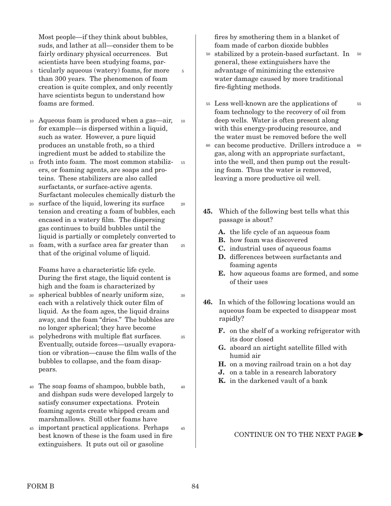Most people—if they think about bubbles, suds, and lather at all—consider them to be fairly ordinary physical occurrences. But scientists have been studying foams, par-

5

30

- ticularly aqueous (watery) foams, for more 5 than 300 years. The phenomenon of foam creation is quite complex, and only recently have scientists begun to understand how foams are formed.
- Aqueous foam is produced when a gas—air, 10 for example—is dispersed within a liquid, such as water. However, a pure liquid produces an unstable froth, so a third ingredient must be added to stabilize the 10
- froth into foam. The most common stabiliz-15 ers, or foaming agents, are soaps and proteins. These stabilizers are also called surfactants, or surface-active agents. Surfactant molecules chemically disturb the 15
- surface of the liquid, lowering its surface tension and creating a foam of bubbles, each encased in a watery film. The dispersing gas continues to build bubbles until the liquid is partially or completely converted to 20  $20$
- foam, with a surface area far greater than 25 that of the original volume of liquid. 25

Foams have a characteristic life cycle. During the first stage, the liquid content is high and the foam is characterized by

- spherical bubbles of nearly uniform size, 30 each with a relatively thick outer film of liquid. As the foam ages, the liquid drains away, and the foam "dries." The bubbles are no longer spherical; they have become
- polyhedrons with multiple flat surfaces. 35 Eventually, outside forces—usually evaporation or vibration—cause the film walls of the bubbles to collapse, and the foam disappears. 35
- The soap foams of shampoo, bubble bath, 40 and dishpan suds were developed largely to satisfy consumer expectations. Protein foaming agents create whipped cream and marshmallows. Still other foams have 40
- important practical applications. Perhaps 45 best known of these is the foam used in fire extinguishers. It puts out oil or gasoline 45

fires by smothering them in a blanket of foam made of carbon dioxide bubbles

- <sup>50</sup> stabilized by a protein-based surfactant. In <sup>50</sup> general, these extinguishers have the advantage of minimizing the extensive water damage caused by more traditional fire-fighting methods.
- Less well-known are the applications of 55 foam technology to the recovery of oil from deep wells. Water is often present along with this energy-producing resource, and the water must be removed before the well

55

- 60 can become productive. Drillers introduce a 60 gas, along with an appropriate surfactant, into the well, and then pump out the resulting foam. Thus the water is removed, leaving a more productive oil well.
- **45.** Which of the following best tells what this passage is about?
	- **A.** the life cycle of an aqueous foam
	- **B.** how foam was discovered
	- **C.** industrial uses of aqueous foams
	- **D.** differences between surfactants and foaming agents
	- **E.** how aqueous foams are formed, and some of their uses
- **46.** In which of the following locations would an aqueous foam be expected to disappear most rapidly?
	- **F.** on the shelf of a working refrigerator with its door closed
	- **G.** aboard an airtight satellite filled with humid air
	- **H.** on a moving railroad train on a hot day
	- **J.** on a table in a research laboratory
	- **K.** in the darkened vault of a bank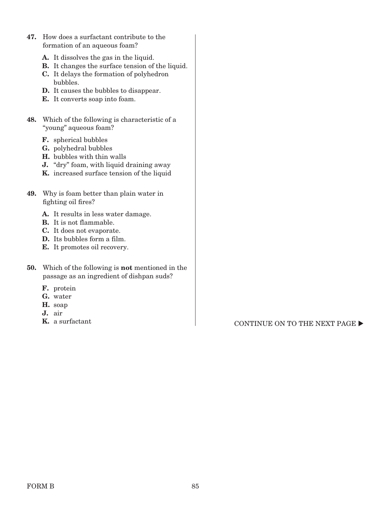- **47.** How does a surfactant contribute to the formation of an aqueous foam?
	- **A.** It dissolves the gas in the liquid.
	- **B.** It changes the surface tension of the liquid.
	- **C.** It delays the formation of polyhedron bubbles.
	- **D.** It causes the bubbles to disappear.
	- **E.** It converts soap into foam.
- **48.** Which of the following is characteristic of a "young" aqueous foam?
	- **F.** spherical bubbles
	- **G.** polyhedral bubbles
	- **H.** bubbles with thin walls
	- **J.** "dry" foam, with liquid draining away
	- **K.** increased surface tension of the liquid
- **49.** Why is foam better than plain water in fighting oil fires?
	- **A.** It results in less water damage.
	- **B.** It is not flammable.
	- **C.** It does not evaporate.
	- **D.** Its bubbles form a film.
	- **E.** It promotes oil recovery.
- **50.** Which of the following is **not** mentioned in the passage as an ingredient of dishpan suds?
	- **F.** protein
	- **G.** water
	- **H.** soap
	- **J.** air
	-

**K.** a surfactant CONTINUE ON TO THE NEXT PAGE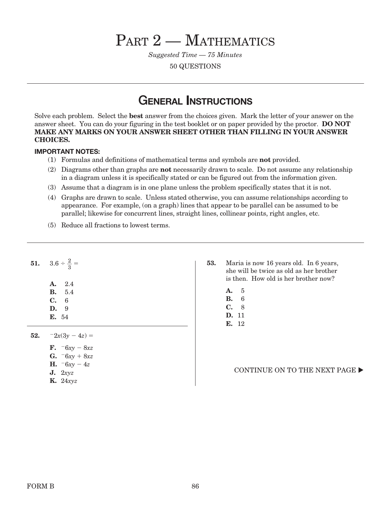# PART 2 – MATHEMATICS

Suggested Time — 75 Minutes

50 QUESTIONS

### **GENERAL INSTRUCTIONS**

Solve each problem. Select the **best** answer from the choices given. Mark the letter of your answer on the answer sheet. You can do your figuring in the test booklet or on paper provided by the proctor. **DO NOT MAKE ANY MARKS ON YOUR ANSWER SHEET OTHER THAN FILLING IN YOUR ANSWER CHOICES.**

#### **IMPORTANT NOTES:**

- (1) Formulas and definitions of mathematical terms and symbols are **not** provided.
- (2) Diagrams other than graphs are **not** necessarily drawn to scale. Do not assume any relationship in a diagram unless it is specifically stated or can be figured out from the information given.
- (3) Assume that a diagram is in one plane unless the problem specifically states that it is not.
- (4) Graphs are drawn to scale. Unless stated otherwise, you can assume relationships according to appearance. For example, (on a graph) lines that appear to be parallel can be assumed to be parallel; likewise for concurrent lines, straight lines, collinear points, right angles, etc.
- (5) Reduce all fractions to lowest terms.

|     | <b>51.</b> $3.6 \div \frac{2}{3} =$     |
|-----|-----------------------------------------|
|     | A. 2.4<br><b>B.</b> 5.4<br>C. 6<br>D. 9 |
|     | E. 54                                   |
| 52. | $-2x(3y-4z) =$                          |
|     | <b>F.</b> $-6xy - 8xz$                  |
|     | <b>G.</b> $-6xy + 8xz$                  |
|     | <b>H.</b> $-6xy - 4z$                   |
|     | J. 2xyz                                 |
|     | $\mathbf{K}$ . 24 $xyz$                 |

- **53.** Maria is now 16 years old. In 6 years, she will be twice as old as her brother is then. How old is her brother now?
	- **A.** 5
	- **B.** 6
	- **C.** 8
	- **D.** 11 **E.** 12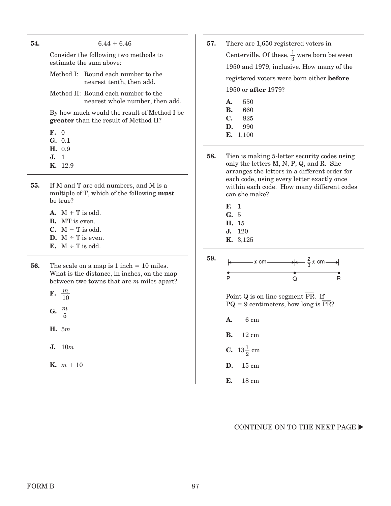| 54. | $6.44 + 6.46$                                                    | 57. | There are             |
|-----|------------------------------------------------------------------|-----|-----------------------|
|     | Consider the following two methods to<br>estimate the sum above: |     | Centervill            |
|     |                                                                  |     | $1950$ and            |
|     | Method I: Round each number to the<br>nearest tenth, then add.   |     | registered            |
|     | Method II: Round each number to the                              |     | $1950$ or af          |
|     | nearest whole number, then add.                                  |     | 550<br>A.             |
|     | By how much would the result of Method I be                      |     | 660<br>В.             |
|     | <b>greater</b> than the result of Method II?                     |     | $\mathbf{C}$ .<br>825 |
|     |                                                                  |     | D.<br>990             |
|     | $\mathbf{F}$ , 0                                                 |     | E. 1,100              |
|     | G. 0.1                                                           |     |                       |
|     | H. 0.9                                                           |     |                       |
|     | <b>J.</b> 1                                                      | 58. | Tien is ma            |
|     | <b>K.</b> 12.9                                                   |     | only the le           |

- **55.** If M and T are odd numbers, and M is a multiple of T, which of the following **must**  be true?
	- $A. M + T$  is odd. **B.** MT is even. **C.**  $M - T$  is odd. **D.**  $M \div T$  is even. **E.**  $M \div T$  is odd.
- **56.** The scale on a map is  $1$  inch  $= 10$  miles. What is the distance, in inches, on the map between two towns that are m miles apart?
	- **F.**  $\frac{m}{48}$ 10 G.  $\frac{m}{r}$  $rac{n}{5}$
	- **H.** 5m
	- **J.** 10m
	- **K.**  $m + 10$
- **67.650** registered voters in Centerville. Of these,  $\frac{1}{3}$  were born between 1979, inclusive. How many of the d voters were born either **before** 1950 or **after** 1979?
	-
	-
	-
- aking 5-letter security codes using letters  $M, N, P, Q$ , and  $R$ . She arranges the letters in a different order for each code, using every letter exactly once within each code. How many different codes can she make?
	- **F.** 1
	- **G.** 5
	- **H.** 15
	- **J.** 120
	- **K.** 3,125
- **59.** x cm  $\longrightarrow \leftarrow \frac{2}{3}x$  cm  $\rightarrow$ P Q R

Point Q is on line segment  $\overline{\phantom{a}}$ PR. I<u>f</u>  $PQ = 9$  centimeters, how long is  $PR?$ 

- **A.** 6 cm
- **B.** 12 cm
- **C.**  $13\frac{1}{2}$  cm
- **D.** 15 cm
- **E.** 18 cm

#### CONTINUE ON TO THE NEXT PAGE  $\blacktriangleright$

#### FORM B 87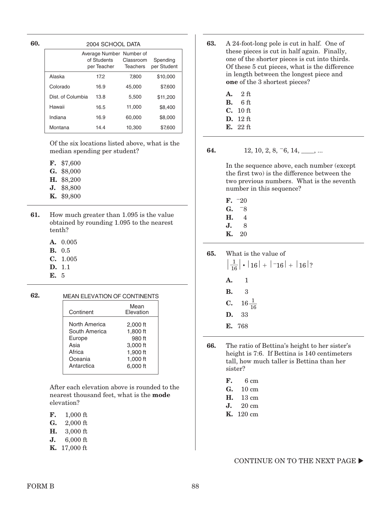**60.** 

| 2004 SCHOOL DATA                                                                                                  |      |        |          |
|-------------------------------------------------------------------------------------------------------------------|------|--------|----------|
| Average Number Number of<br>Spending<br>of Students<br>Classroom<br>per Student<br><b>Teachers</b><br>per Teacher |      |        |          |
| Alaska                                                                                                            | 17.2 | 7.800  | \$10,000 |
| Colorado                                                                                                          | 16.9 | 45,000 | \$7,600  |
| Dist. of Columbia                                                                                                 | 13.8 | 5,500  | \$11,200 |
| Hawaii                                                                                                            | 16.5 | 11,000 | \$8,400  |
| Indiana                                                                                                           | 16.9 | 60.000 | \$8,000  |
| Montana                                                                                                           | 14.4 | 10,300 | \$7,600  |

Of the six locations listed above, what is the median spending per student?

- **F.** \$7,600
- **G.** \$8,000
- **H.** \$8,200
- **J.** \$8,800
- **K.** \$9,800
- **61.** How much greater than 1.095 is the value obtained by rounding 1.095 to the nearest tenth?
	- **A.** 0.005
	- **B.** 0.5
	- **C.** 1.005
	- **D.** 1.1
	- **E.** 5

#### **62.** MEAN ELEVATION OF CONTINENTS

| Continent     | Mean<br>Elevation |
|---------------|-------------------|
| North America | 2,000 ft          |
| South America | 1,800 ft          |
| Europe        | 980 ft            |
| Asia          | 3,000 ft          |
| Africa        | 1,900 ft          |
| Oceania       | 1,000 ft          |
| Antarctica    | 6.000 ft          |

 After each elevation above is rounded to the nearest thousand feet, what is the **mode** elevation?

| F.<br>$1,000$ ft |
|------------------|
|------------------|

- **G.** 2,000 ft
- **H.** 3,000 ft
- **J.** 6,000 ft
- **K.** 17,000 ft
- **63.** A 24-foot-long pole is cut in half. One of these pieces is cut in half again. Finally, one of the shorter pieces is cut into thirds. Of these 5 cut pieces, what is the difference in length between the longest piece and **one** of the 3 shortest pieces?
	- **A.** 22 ft
	- **B.** 26 ft
	- **C.** 10 ft
	- **D.** 12 ft
	- **E.** 22 ft

#### **64.** 12, 10, 2, 8,  $-6$ , 14, \_\_\_, ...

 In the sequence above, each number (except the first two) is the difference between the two previous numbers. What is the seventh number in this sequence?

- $F. -20$  $G. 78$ **H.** 4 **J.** 8
- **K.** 20
- **65.** What is the value of  $\left| \frac{1}{16} \right| \cdot |16| + |-16| + |16|?$ **A.** 1 **B.** 3 **C.**  $16\frac{1}{16}$ **D.** 33 **E.** 768
- **66.** The ratio of Bettina's height to her sister's height is 7:6. If Bettina is 140 centimeters tall, how much taller is Bettina than her sister?

| F. | $6 \text{ cm}$ |
|----|----------------|
|    |                |

- **G.** 10 cm
- **H.** 13 cm **J.** 20 cm
- **K.** 120 cm
	-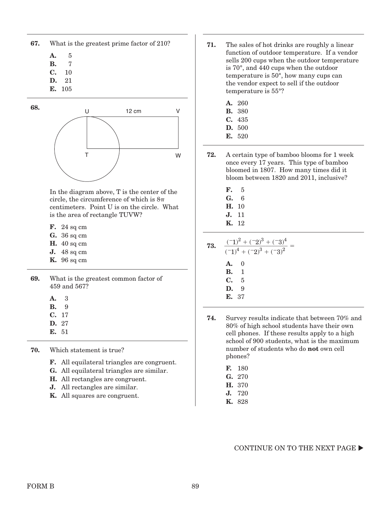| 67. | What is the greatest prime factor of 210? |
|-----|-------------------------------------------|
|-----|-------------------------------------------|

- **A.** 5
- **B.** 7
- **C.** 10 **D.** 21
- **E.** 105
- 



In the diagram above, T is the center of the circle, the circumference of which is  $8\pi$ centimeters. Point U is on the circle. What is the area of rectangle TUVW?

- **F.** 24 sq cm
- **G.** 36 sq cm
- **H.** 40 sq cm
- **J.** 48 sq cm
- **K.** 96 sq cm
- **69.** What is the greatest common factor of 459 and 567?

| A. | З |
|----|---|
| В. | 9 |

- **C.** 17
- **D.** 27
- **E.** 51
- **70.** Which statement is true?
	- **F.** All equilateral triangles are congruent.
	- **G.** All equilateral triangles are similar.
	- **H.** All rectangles are congruent.
	- **J.** All rectangles are similar.
	- **K.** All squares are congruent.
- **71.** The sales of hot drinks are roughly a linear function of outdoor temperature. If a vendor sells 200 cups when the outdoor temperature is 70°, and 440 cups when the outdoor temperature is 50°, how many cups can the vendor expect to sell if the outdoor temperature is 55°?
	- **A.** 260
	- **B.** 380
	- **C.** 435
	- **D.** 500
	- **E.** 520
- **72.** A certain type of bamboo blooms for 1 week once every 17 years. This type of bamboo bloomed in 1807. How many times did it bloom between 1820 and 2011, inclusive?
	- **F.** 5
	- **G.** 6
	- **H.** 10
	- **J.** 11
	- **K.** 12

73. 
$$
\frac{(-1)^2 + (-2)^3 + (-3)^4}{(-1)^4 + (-2)^3 + (-3)^2} =
$$
\n**A.** 0  
\n**B.** 1  
\n**C.** 5  
\n**D.** 9

- **E.** 37
- **74.** Survey results indicate that between 70% and 80% of high school students have their own cell phones. If these results apply to a high school of 900 students, what is the maximum number of students who do **not** own cell phones?
	- **F.** 180
	- **G.** 270
	- **H.** 370
	- **J.** 720
	- **K.** 828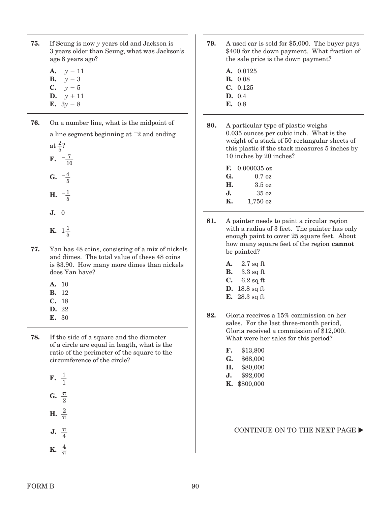- **75.** If Seung is now y years old and Jackson is 3 years older than Seung, what was Jackson's age 8 years ago?
	- **A.**  $y 11$ **B.**  $v - 3$ **C.**  $y - 5$
	- **D.**  $y + 11$
	- **E.**  $3y 8$
- **76.** On a number line, what is the midpoint of a line segment beginning at  $-2$  and ending

at  $\frac{2}{5}$ ? **F.**  $-\frac{7}{10}$ **G.**  $-\frac{4}{5}$ **H.**  $-\frac{1}{5}$ **J.** 0 **K.**  $1\frac{1}{5}$ 

- **77.** Yan has 48 coins, consisting of a mix of nickels and dimes. The total value of these 48 coins is \$3.90. How many more dimes than nickels does Yan have?
	- **A.** 10
	- **B.** 12
	- **C.** 18 **D.** 22
	- **E.** 30
	-
- **78.** If the side of a square and the diameter of a circle are equal in length, what is the ratio of the perimeter of the square to the circumference of the circle?

| F. |        |
|----|--------|
| G. | π<br>9 |
| Н. | 2<br>ᡣ |

**J.**  $\frac{\pi}{4}$  $\frac{1}{4}$ **K.**  $\frac{4}{\pi}$ 

- **79.** A used car is sold for \$5,000. The buyer pays \$400 for the down payment. What fraction of the sale price is the down payment?
	- **A.** 0.0125
	- **B.** 0.08
	- **C.** 0.125
	- **D.** 0.4 **E.** 0.8
- **80.** A particular type of plastic weighs 0.035 ounces per cubic inch. What is the weight of a stack of 50 rectangular sheets of this plastic if the stack measures 5 inches by 10 inches by 20 inches?
	- **F.** 0.000035 oz **G.** 0.7 oz **H.** 3.5 oz **J.** 35 oz
	- **K.** 1,750 oz
- **81.** A painter needs to paint a circular region with a radius of 3 feet. The painter has only enough paint to cover 25 square feet. About how many square feet of the region **cannot**  be painted?
	- **A.** 2.7 sq ft
	- **B.** 3.3 sq ft
	- **C.** 6.2 sq ft
	- **D.** 18.8 sq ft
	- **E.** 28.3 sq ft
- **82.** Gloria receives a 15% commission on her sales. For the last three-month period, Gloria received a commission of \$12,000. What were her sales for this period?
	- **F.** \$13,800
	- **G.** \$68,000
	- **H.** \$80,000
	- **J.** \$92,000
	- **K.** \$800,000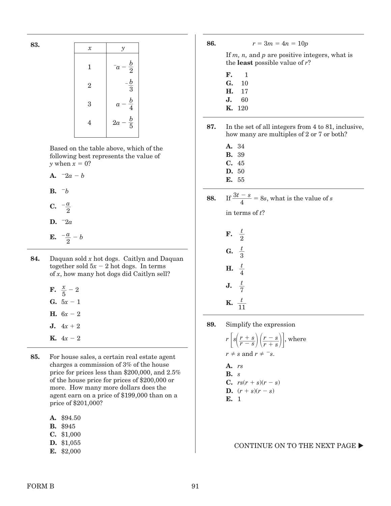| 83. |                            |                                    |
|-----|----------------------------|------------------------------------|
|     | $\boldsymbol{\mathcal{X}}$ | $\mathcal{Y}$                      |
|     | $\mathbf{1}$               | $rac{b}{2}$<br>$\bar{a}$           |
|     | $\overline{2}$             | $-\frac{b}{3}$                     |
|     | 3                          | $rac{b}{4}$<br>$\alpha$            |
|     | 4                          | $\frac{b}{5}$<br>$2\boldsymbol{a}$ |
|     |                            |                                    |

 Based on the table above, which of the following best represents the value of y when  $x = 0$ ?

**A.**  $-2a - b$  $B. -b$ 

- $C. -\frac{a}{a}$  $\frac{a}{2}$ D.  $-2a$
- **E.**  $-\frac{a}{a}$  $\frac{a}{2} - b$
- **84.** Daquan sold x hot dogs. Caitlyn and Daquan together sold  $5x - 2$  hot dogs. In terms of x, how many hot dogs did Caitlyn sell?
	- **F.**  $\frac{x}{5} 2$ **G.**  $5x - 1$ **H.**  $6x - 2$ **J.**  $4x + 2$ **K.**  $4x - 2$
- **85.** For house sales, a certain real estate agent charges a commission of 3% of the house price for prices less than \$200,000, and 2.5% of the house price for prices of \$200,000 or more. How many more dollars does the agent earn on a price of \$199,000 than on a price of \$201,000?

| \$94.50<br>A. |
|---------------|
|---------------|

- **B.** \$945
- **C.** \$1,000
- **D.** \$1,055
- **E.** \$2,000

**86.**  $r = 3m = 4n = 10p$ 

If  $m$ ,  $n$ , and  $p$  are positive integers, what is the **least** possible value of r?

- **F.** 1
- **G.** 10
- **H.** 17
- **J.** 60 **K.** 120
- **87.** In the set of all integers from 4 to 81, inclusive, how many are multiples of 2 or 7 or both?
	- **A.** 34
	- **B.** 39
	- **C.** 45 **D.** 50
	- **E.** 55
- **88.** If  $\frac{3t s}{4}$  $\frac{-s}{4}$  = 8s, what is the value of s

in terms of  $t$ ?

| F. | $\frac{t}{2}$                    |
|----|----------------------------------|
| G. | $rac{t}{3}$                      |
| Н. | $rac{t}{4}$                      |
| J. | $\frac{t}{7}$                    |
| К. | $\frac{t}{ }$<br>$1\overline{1}$ |

**89.** Simplify the expression

 $r\left[s\left(\frac{r+s}{r-s}\right)\left(\frac{r-s}{r+s}\right)\right],$  where  $r \neq s$  and  $r \neq -s$ . **A.** rs **B.** s **C.**  $rs(r + s)(r - s)$ **D.**  $(r + s)(r - s)$ **E.** 1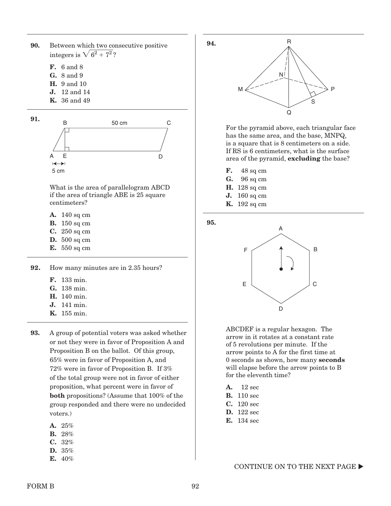**90.** Between which two consecutive positive integers is  $\sqrt{6^2+7^2}$  ?

- **F.** 6 and 8
- **G.** 8 and 9
- **H.** 9 and 10
- **J.** 12 and 14
- **K.** 36 and 49



 What is the area of parallelogram ABCD if the area of triangle ABE is 25 square centimeters?

- **A.** 140 sq cm
- **B.** 150 sq cm
- **C.** 250 sq cm
- **D.** 500 sq cm
- **E.** 550 sq cm

**92.** How many minutes are in 2.35 hours?

- **F.** 133 min.
- **G.** 138 min.
- **H.** 140 min.
- **J.** 141 min.
- **K.** 155 min.
- **93.** A group of potential voters was asked whether or not they were in favor of Proposition A and Proposition B on the ballot. Of this group, 65% were in favor of Proposition A, and 72% were in favor of Proposition B. If 3% of the total group were not in favor of either proposition, what percent were in favor of **both** propositions? (Assume that 100% of the group responded and there were no undecided voters.)
	- **A.** 25%
	- **B.** 28%
	- **C.** 32%
	- **D.** 35%
	- **E.** 40%



For the pyramid above, each triangular face has the same area, and the base, MNPQ, is a square that is 8 centimeters on a side. If RS is 6 centimeters, what is the surface area of the pyramid, **excluding** the base?

- **F.** 48 sq cm
- **G.** 96 sq cm
- **H.** 128 sq cm
- **J.** 160 sq cm
- **K.** 192 sq cm

**95.**



 ABCDEF is a regular hexagon. The arrow in it rotates at a constant rate of 5 revolutions per minute. If the arrow points to A for the first time at 0 seconds as shown, how many **seconds** will elapse before the arrow points to B for the eleventh time?

- **A.** 12 sec
- **B.** 110 sec
- **C.** 120 sec
- **D.** 122 sec
- **E.** 134 sec